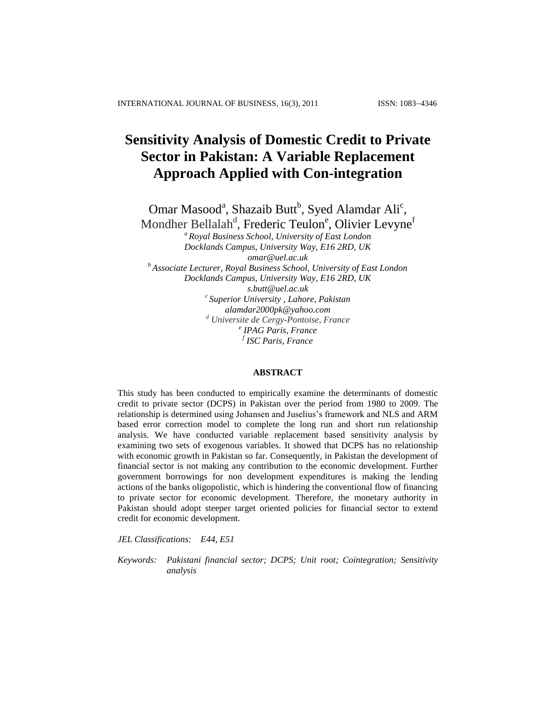# **Sensitivity Analysis of Domestic Credit to Private Sector in Pakistan: A Variable Replacement Approach Applied with Con-integration**

Omar Masood<sup>a</sup>, Shazaib Butt<sup>b</sup>, Syed Alamdar Ali<sup>c</sup>,

Mondher Bellalah<sup>d</sup>, Frederic Teulon<sup>e</sup>, Olivier Levyne<sup>f</sup>

*a Royal Business School, University of East London Docklands Campus, University Way, E16 2RD, UK [omar@uel.ac.uk](mailto:omar@uel.ac.uk) <sup>b</sup> Associate Lecturer, Royal Business School, University of East London*

*Docklands Campus, University Way, E16 2RD, UK [s.butt@uel.ac.uk](mailto:s.butt@uel.ac.uk) c Superior University , Lahore, Pakistan [alamdar2000pk@yahoo.com](mailto:alamdar2000pk@yahoo.com) <sup>d</sup> Universite de Cergy-Pontoise, France e IPAG Paris, France f ISC Paris, France*

#### **ABSTRACT**

This study has been conducted to empirically examine the determinants of domestic credit to private sector (DCPS) in Pakistan over the period from 1980 to 2009. The relationship is determined using Johansen and Juselius's framework and NLS and ARM based error correction model to complete the long run and short run relationship analysis. We have conducted variable replacement based sensitivity analysis by examining two sets of exogenous variables. It showed that DCPS has no relationship with economic growth in Pakistan so far. Consequently, in Pakistan the development of financial sector is not making any contribution to the economic development. Further government borrowings for non development expenditures is making the lending actions of the banks oligopolistic, which is hindering the conventional flow of financing to private sector for economic development. Therefore, the monetary authority in Pakistan should adopt steeper target oriented policies for financial sector to extend credit for economic development.

*JEL Classifications: E44, E51* 

*Keywords: Pakistani financial sector; DCPS; Unit root; Cointegration; Sensitivity analysis*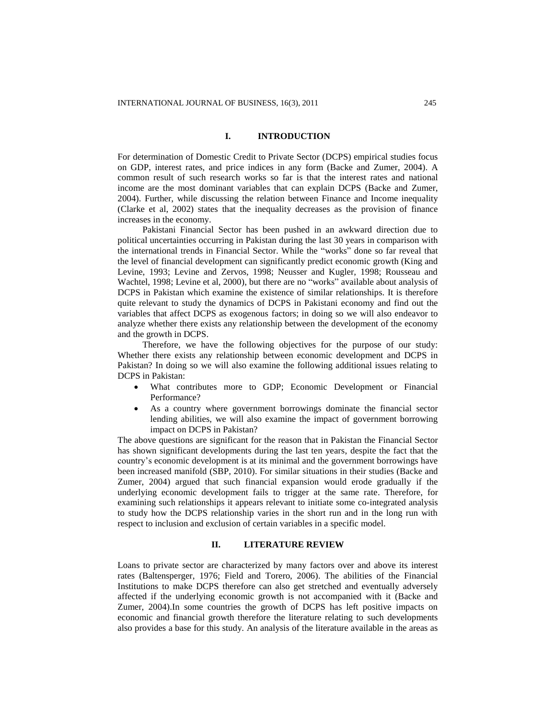## **I. INTRODUCTION**

For determination of Domestic Credit to Private Sector (DCPS) empirical studies focus on GDP, interest rates, and price indices in any form (Backe and Zumer, 2004). A common result of such research works so far is that the interest rates and national income are the most dominant variables that can explain DCPS (Backe and Zumer, 2004). Further, while discussing the relation between Finance and Income inequality (Clarke et al, 2002) states that the inequality decreases as the provision of finance increases in the economy.

Pakistani Financial Sector has been pushed in an awkward direction due to political uncertainties occurring in Pakistan during the last 30 years in comparison with the international trends in Financial Sector. While the "works" done so far reveal that the level of financial development can significantly predict economic growth (King and Levine, 1993; Levine and Zervos, 1998; Neusser and Kugler, 1998; Rousseau and Wachtel, 1998; Levine et al, 2000), but there are no "works" available about analysis of DCPS in Pakistan which examine the existence of similar relationships. It is therefore quite relevant to study the dynamics of DCPS in Pakistani economy and find out the variables that affect DCPS as exogenous factors; in doing so we will also endeavor to analyze whether there exists any relationship between the development of the economy and the growth in DCPS.

Therefore, we have the following objectives for the purpose of our study: Whether there exists any relationship between economic development and DCPS in Pakistan? In doing so we will also examine the following additional issues relating to DCPS in Pakistan:

- What contributes more to GDP; Economic Development or Financial Performance?
- As a country where government borrowings dominate the financial sector lending abilities, we will also examine the impact of government borrowing impact on DCPS in Pakistan?

The above questions are significant for the reason that in Pakistan the Financial Sector has shown significant developments during the last ten years, despite the fact that the country's economic development is at its minimal and the government borrowings have been increased manifold (SBP, 2010). For similar situations in their studies (Backe and Zumer, 2004) argued that such financial expansion would erode gradually if the underlying economic development fails to trigger at the same rate. Therefore, for examining such relationships it appears relevant to initiate some co-integrated analysis to study how the DCPS relationship varies in the short run and in the long run with respect to inclusion and exclusion of certain variables in a specific model.

## **II. LITERATURE REVIEW**

Loans to private sector are characterized by many factors over and above its interest rates (Baltensperger, 1976; Field and Torero, 2006). The abilities of the Financial Institutions to make DCPS therefore can also get stretched and eventually adversely affected if the underlying economic growth is not accompanied with it (Backe and Zumer, 2004).In some countries the growth of DCPS has left positive impacts on economic and financial growth therefore the literature relating to such developments also provides a base for this study. An analysis of the literature available in the areas as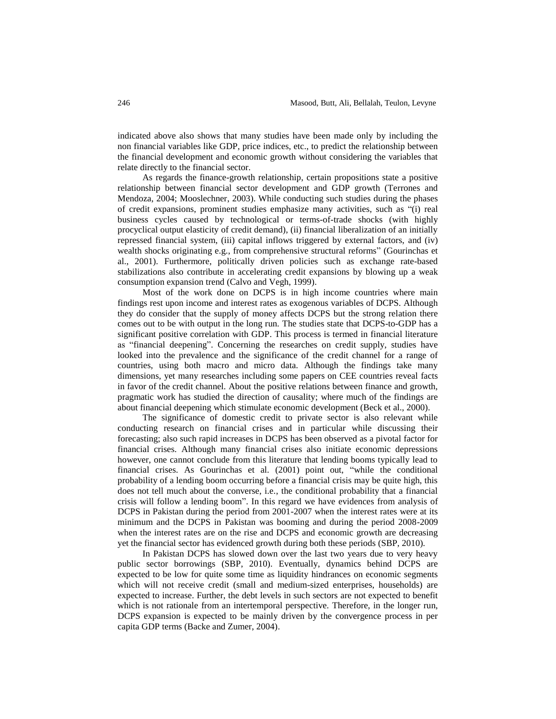indicated above also shows that many studies have been made only by including the non financial variables like GDP, price indices, etc., to predict the relationship between the financial development and economic growth without considering the variables that relate directly to the financial sector.

As regards the finance-growth relationship, certain propositions state a positive relationship between financial sector development and GDP growth (Terrones and Mendoza, 2004; Mooslechner, 2003). While conducting such studies during the phases of credit expansions, prominent studies emphasize many activities, such as "(i) real business cycles caused by technological or terms-of-trade shocks (with highly procyclical output elasticity of credit demand), (ii) financial liberalization of an initially repressed financial system, (iii) capital inflows triggered by external factors, and (iv) wealth shocks originating e.g., from comprehensive structural reforms" (Gourinchas et al., 2001). Furthermore, politically driven policies such as exchange rate-based stabilizations also contribute in accelerating credit expansions by blowing up a weak consumption expansion trend (Calvo and Vegh, 1999).

Most of the work done on DCPS is in high income countries where main findings rest upon income and interest rates as exogenous variables of DCPS. Although they do consider that the supply of money affects DCPS but the strong relation there comes out to be with output in the long run. The studies state that DCPS-to-GDP has a significant positive correlation with GDP. This process is termed in financial literature as "financial deepening". Concerning the researches on credit supply, studies have looked into the prevalence and the significance of the credit channel for a range of countries, using both macro and micro data. Although the findings take many dimensions, yet many researches including some papers on CEE countries reveal facts in favor of the credit channel. About the positive relations between finance and growth, pragmatic work has studied the direction of causality; where much of the findings are about financial deepening which stimulate economic development (Beck et al., 2000).

The significance of domestic credit to private sector is also relevant while conducting research on financial crises and in particular while discussing their forecasting; also such rapid increases in DCPS has been observed as a pivotal factor for financial crises. Although many financial crises also initiate economic depressions however, one cannot conclude from this literature that lending booms typically lead to financial crises. As Gourinchas et al. (2001) point out, "while the conditional probability of a lending boom occurring before a financial crisis may be quite high, this does not tell much about the converse, i.e., the conditional probability that a financial crisis will follow a lending boom". In this regard we have evidences from analysis of DCPS in Pakistan during the period from 2001-2007 when the interest rates were at its minimum and the DCPS in Pakistan was booming and during the period 2008-2009 when the interest rates are on the rise and DCPS and economic growth are decreasing yet the financial sector has evidenced growth during both these periods (SBP, 2010).

In Pakistan DCPS has slowed down over the last two years due to very heavy public sector borrowings (SBP, 2010). Eventually, dynamics behind DCPS are expected to be low for quite some time as liquidity hindrances on economic segments which will not receive credit (small and medium-sized enterprises, households) are expected to increase. Further, the debt levels in such sectors are not expected to benefit which is not rationale from an intertemporal perspective. Therefore, in the longer run, DCPS expansion is expected to be mainly driven by the convergence process in per capita GDP terms (Backe and Zumer, 2004).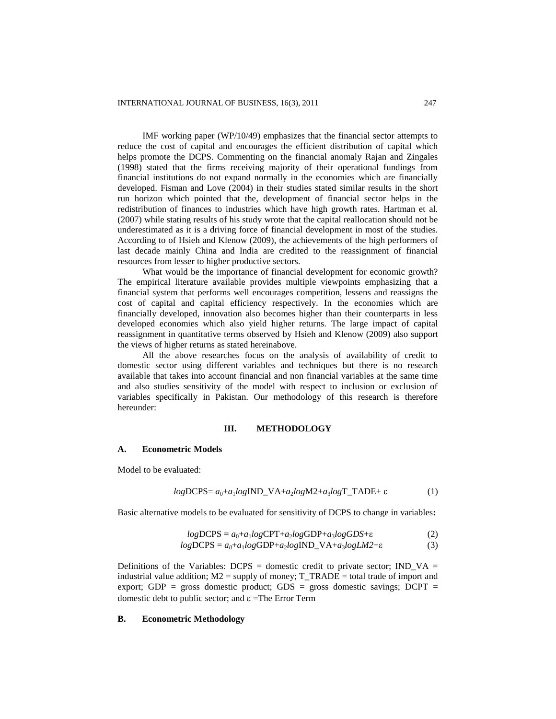IMF working paper (WP/10/49) emphasizes that the financial sector attempts to reduce the cost of capital and encourages the efficient distribution of capital which helps promote the DCPS. Commenting on the financial anomaly Rajan and Zingales (1998) stated that the firms receiving majority of their operational fundings from financial institutions do not expand normally in the economies which are financially developed. Fisman and Love (2004) in their studies stated similar results in the short run horizon which pointed that the, development of financial sector helps in the redistribution of finances to industries which have high growth rates. Hartman et al. (2007) while stating results of his study wrote that the capital reallocation should not be underestimated as it is a driving force of financial development in most of the studies. According to of Hsieh and Klenow (2009), the achievements of the high performers of last decade mainly China and India are credited to the reassignment of financial resources from lesser to higher productive sectors.

What would be the importance of financial development for economic growth? The empirical literature available provides multiple viewpoints emphasizing that a financial system that performs well encourages competition, lessens and reassigns the cost of capital and capital efficiency respectively. In the economies which are financially developed, innovation also becomes higher than their counterparts in less developed economies which also yield higher returns. The large impact of capital reassignment in quantitative terms observed by Hsieh and Klenow (2009) also support the views of higher returns as stated hereinabove.

All the above researches focus on the analysis of availability of credit to domestic sector using different variables and techniques but there is no research available that takes into account financial and non financial variables at the same time and also studies sensitivity of the model with respect to inclusion or exclusion of variables specifically in Pakistan. Our methodology of this research is therefore hereunder:

#### **III. METHODOLOGY**

#### **A. Econometric Models**

Model to be evaluated:

$$
logDCPS = a_0 + a_1 logIND_VA + a_2 logM2 + a_3 logT_TADE + \varepsilon
$$
 (1)

Basic alternative models to be evaluated for sensitivity of DCPS to change in variables**:**

$$
logDCPS = a_0 + a_1 logCPT + a_2 logGDP + a_3 logGDS + \varepsilon
$$
 (2)

$$
logDCPS = a_0 + a_1 logGDP + a_2 logIND\_VA + a_3 logLM2 + \epsilon
$$
 (3)

Definitions of the Variables: DCPS = domestic credit to private sector; IND VA = industrial value addition;  $M2$  = supply of money;  $T_TRADE$  = total trade of import and export; GDP = gross domestic product; GDS = gross domestic savings; DCPT = domestic debt to public sector; and  $\varepsilon$  =The Error Term

# **B. Econometric Methodology**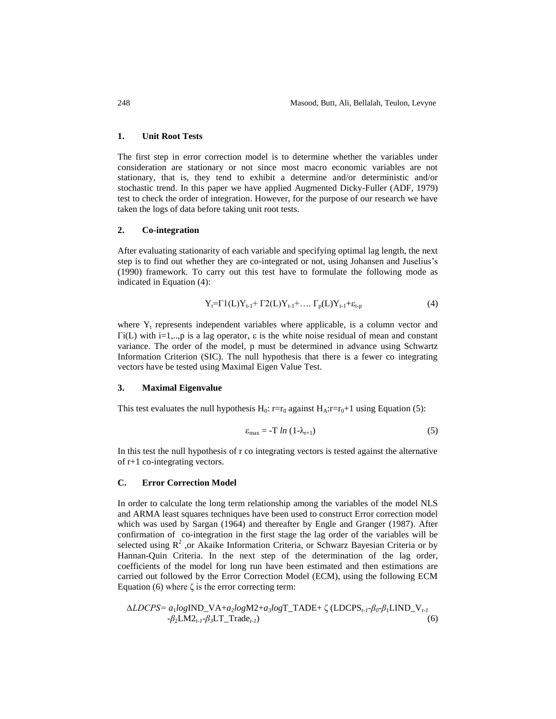#### **1. Unit Root Tests**

The first step in error correction model is to determine whether the variables under consideration are stationary or not since most macro economic variables are not stationary, that is, they tend to exhibit a determine and/or deterministic and/or stochastic trend. In this paper we have applied Augmented Dicky-Fuller (ADF, 1979) test to check the order of integration. However, for the purpose of our research we have taken the logs of data before taking unit root tests.

### **2. Co-integration**

After evaluating stationarity of each variable and specifying optimal lag length, the next step is to find out whether they are co-integrated or not, using Johansen and Juselius's (1990) framework. To carry out this test have to formulate the following mode as indicated in Equation (4):

$$
Y_{t} = \Gamma 1(L)Y_{t-1} + \Gamma 2(L)Y_{t-1} + \dots \Gamma_{p}(L)Y_{t-1} + \varepsilon_{t-p}
$$
\n(4)

where  $Y_t$  represents independent variables where applicable, is a column vector and Γi(L) with i=1,..,p is a lag operator,  $ε$  is the white noise residual of mean and constant variance. The order of the model, p must be determined in advance using Schwartz Information Criterion (SIC). The null hypothesis that there is a fewer co integrating vectors have be tested using Maximal Eigen Value Test.

#### **3. Maximal Eigenvalue**

This test evaluates the null hypothesis  $H_0$ : r=r<sub>0</sub> against  $H_A$ :r=r<sub>0</sub>+1 using Equation (5):

$$
\varepsilon_{\text{max}} = -T \ln \left( 1 - \lambda_{r+1} \right) \tag{5}
$$

In this test the null hypothesis of r co integrating vectors is tested against the alternative of r+1 co-integrating vectors.

#### **C. Error Correction Model**

In order to calculate the long term relationship among the variables of the model NLS and ARMA least squares techniques have been used to construct Error correction model which was used by Sargan (1964) and thereafter by Engle and Granger (1987). After confirmation of co-integration in the first stage the lag order of the variables will be selected using  $R^2$ , or Akaike Information Criteria, or Schwarz Bayesian Criteria or by Hannan-Quin Criteria. In the next step of the determination of the lag order, coefficients of the model for long run have been estimated and then estimations are carried out followed by the Error Correction Model (ECM), using the following ECM Equation (6) where  $\zeta$  is the error correcting term:

$$
\Delta LDCPS = a_1 logIND_VA + a_2 logM2 + a_3 logT_TADE + \zeta (LDCPS_{t-1} - \beta_0 - \beta_1 LIND_V_{t-1} - \beta_2 LM2_{t-1} - \beta_3 LT_Trade_{t-1})
$$
\n(6)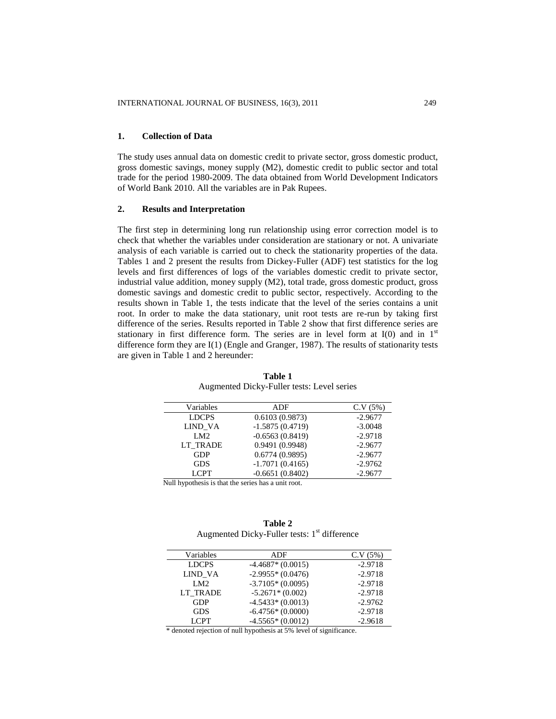# **1. Collection of Data**

The study uses annual data on domestic credit to private sector, gross domestic product, gross domestic savings, money supply (M2), domestic credit to public sector and total trade for the period 1980-2009. The data obtained from World Development Indicators of World Bank 2010. All the variables are in Pak Rupees.

# **2. Results and Interpretation**

The first step in determining long run relationship using error correction model is to check that whether the variables under consideration are stationary or not. A univariate analysis of each variable is carried out to check the stationarity properties of the data. Tables 1 and 2 present the results from Dickey-Fuller (ADF) test statistics for the log levels and first differences of logs of the variables domestic credit to private sector, industrial value addition, money supply (M2), total trade, gross domestic product, gross domestic savings and domestic credit to public sector, respectively. According to the results shown in Table 1, the tests indicate that the level of the series contains a unit root. In order to make the data stationary, unit root tests are re-run by taking first difference of the series. Results reported in Table 2 show that first difference series are stationary in first difference form. The series are in level form at  $I(0)$  and in  $1<sup>st</sup>$ difference form they are I(1) (Engle and Granger, 1987). The results of stationarity tests are given in Table 1 and 2 hereunder:

| Variables          | ADF               | C.V(5%)   |
|--------------------|-------------------|-----------|
| <b>LDCPS</b>       | 0.6103(0.9873)    | $-2.9677$ |
| <b>LIND VA</b>     | $-1.5875(0.4719)$ | $-3.0048$ |
| LM2                | $-0.6563(0.8419)$ | $-2.9718$ |
| <b>LT TRADE</b>    | 0.9491(0.9948)    | $-2.9677$ |
| <b>GDP</b>         | 0.6774(0.9895)    | $-2.9677$ |
| <b>GDS</b>         | $-1.7071(0.4165)$ | $-2.9762$ |
| <b>LCPT</b>        | $-0.6651(0.8402)$ | $-2.9677$ |
| .<br><b>AF 111</b> | . .               |           |

**Table 1** Augmented Dicky-Fuller tests: Level series

Null hypothesis is that the series has a unit root.

| Table 2                                        |
|------------------------------------------------|
| Augmented Dicky-Fuller tests: $1st$ difference |

| Variables    | ADF                | C.V(5%)   |
|--------------|--------------------|-----------|
| <b>LDCPS</b> | $-4.4687*(0.0015)$ | $-2.9718$ |
| LIND VA      | $-2.9955*(0.0476)$ | $-2.9718$ |
| LM2          | $-3.7105*(0.0095)$ | $-2.9718$ |
| LT TRADE     | $-5.2671*(0.002)$  | $-2.9718$ |
| <b>GDP</b>   | $-4.5433*(0.0013)$ | $-2.9762$ |
| <b>GDS</b>   | $-6.4756*(0.0000)$ | $-2.9718$ |
| <b>LCPT</b>  | $-4.5565*(0.0012)$ | $-2.9618$ |

\* denoted rejection of null hypothesis at 5% level of significance.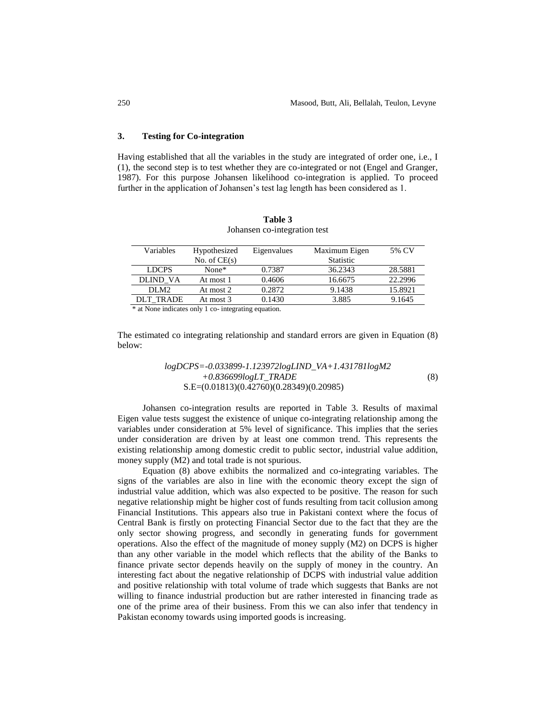## **3. Testing for Co-integration**

Having established that all the variables in the study are integrated of order one, i.e., I (1), the second step is to test whether they are co-integrated or not (Engel and Granger, 1987). For this purpose Johansen likelihood co-integration is applied. To proceed further in the application of Johansen's test lag length has been considered as 1.

| Hypothesized   | Eigenvalues                 | Maximum Eigen    | 5% CV   |
|----------------|-----------------------------|------------------|---------|
| No. of $CE(s)$ |                             | <b>Statistic</b> |         |
| None $*$       | 0.7387                      | 36.2343          | 28.5881 |
| At most 1      | 0.4606                      | 16.6675          | 22.2996 |
| At most 2      | 0.2872                      | 9.1438           | 15.8921 |
| At most 3      | 0.1430                      | 3.885            | 9.1645  |
|                | $\sim$ $\sim$ $\sim$ $\sim$ | $\cdot$ .        |         |

**Table 3** Johansen co-integration test

\* at None indicates only 1 co- integrating equation.

The estimated co integrating relationship and standard errors are given in Equation (8) below:

# *logDCPS=-0.033899-1.123972logLIND\_VA+1.431781logM2 +0.836699logLT\_TRADE* (8) S.E=(0.01813)(0.42760)(0.28349)(0.20985)

Johansen co-integration results are reported in Table 3. Results of maximal Eigen value tests suggest the existence of unique co-integrating relationship among the variables under consideration at 5% level of significance. This implies that the series under consideration are driven by at least one common trend. This represents the existing relationship among domestic credit to public sector, industrial value addition, money supply (M2) and total trade is not spurious.

Equation (8) above exhibits the normalized and co-integrating variables. The signs of the variables are also in line with the economic theory except the sign of industrial value addition, which was also expected to be positive. The reason for such negative relationship might be higher cost of funds resulting from tacit collusion among Financial Institutions. This appears also true in Pakistani context where the focus of Central Bank is firstly on protecting Financial Sector due to the fact that they are the only sector showing progress, and secondly in generating funds for government operations. Also the effect of the magnitude of money supply (M2) on DCPS is higher than any other variable in the model which reflects that the ability of the Banks to finance private sector depends heavily on the supply of money in the country. An interesting fact about the negative relationship of DCPS with industrial value addition and positive relationship with total volume of trade which suggests that Banks are not willing to finance industrial production but are rather interested in financing trade as one of the prime area of their business. From this we can also infer that tendency in Pakistan economy towards using imported goods is increasing.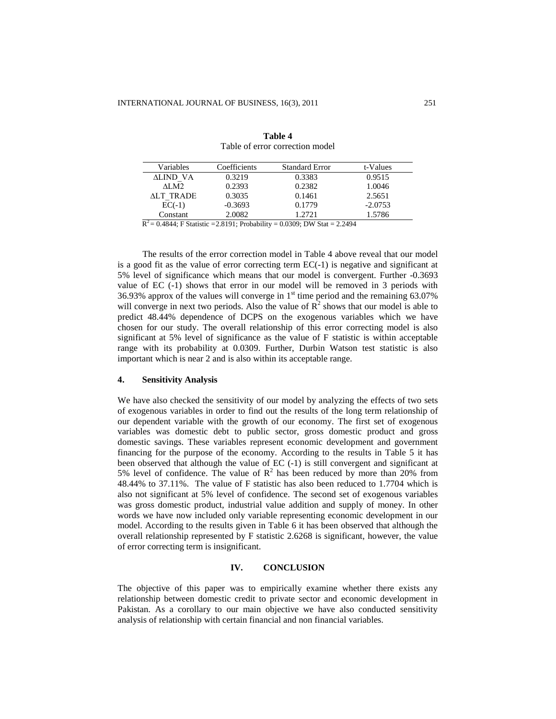| Variables | Coefficients | <b>Standard Error</b> | t-Values  |
|-----------|--------------|-----------------------|-----------|
| ALIND VA  | 0.3219       | 0.3383                | 0.9515    |
| ALM2.     | 0.2393       | 0.2382                | 1.0046    |
| ALT TRADE | 0.3035       | 0.1461                | 2.5651    |
| $EC(-1)$  | $-0.3693$    | 0.1779                | $-2.0753$ |
| Constant  | 2.0082       | 1.2721                | 1.5786    |

**Table 4** Table of error correction model

 $R^2 = 0.4844$ ; F Statistic = 2.8191; Probability = 0.0309; DW Stat = 2.2494

The results of the error correction model in Table 4 above reveal that our model is a good fit as the value of error correcting term EC(-1) is negative and significant at 5% level of significance which means that our model is convergent. Further -0.3693 value of EC (-1) shows that error in our model will be removed in 3 periods with 36.93% approx of the values will converge in  $1<sup>st</sup>$  time period and the remaining 63.07% will converge in next two periods. Also the value of  $\mathbb{R}^2$  shows that our model is able to predict 48.44% dependence of DCPS on the exogenous variables which we have chosen for our study. The overall relationship of this error correcting model is also significant at 5% level of significance as the value of F statistic is within acceptable range with its probability at 0.0309. Further, Durbin Watson test statistic is also important which is near 2 and is also within its acceptable range.

## **4. Sensitivity Analysis**

We have also checked the sensitivity of our model by analyzing the effects of two sets of exogenous variables in order to find out the results of the long term relationship of our dependent variable with the growth of our economy. The first set of exogenous variables was domestic debt to public sector, gross domestic product and gross domestic savings. These variables represent economic development and government financing for the purpose of the economy. According to the results in Table 5 it has been observed that although the value of EC (-1) is still convergent and significant at 5% level of confidence. The value of  $R^2$  has been reduced by more than 20% from 48.44% to 37.11%. The value of F statistic has also been reduced to 1.7704 which is also not significant at 5% level of confidence. The second set of exogenous variables was gross domestic product, industrial value addition and supply of money. In other words we have now included only variable representing economic development in our model. According to the results given in Table 6 it has been observed that although the overall relationship represented by F statistic 2.6268 is significant, however, the value of error correcting term is insignificant.

## **IV. CONCLUSION**

The objective of this paper was to empirically examine whether there exists any relationship between domestic credit to private sector and economic development in Pakistan. As a corollary to our main objective we have also conducted sensitivity analysis of relationship with certain financial and non financial variables.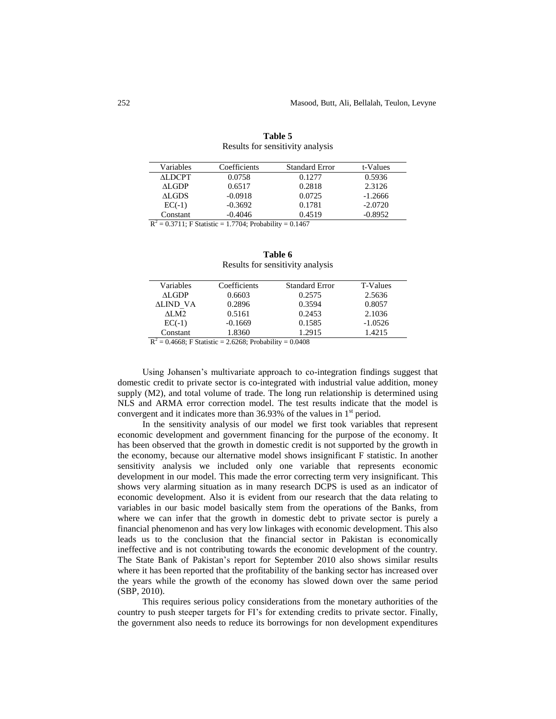| Variables | Coefficients | <b>Standard Error</b> | t-Values  |
|-----------|--------------|-----------------------|-----------|
| ALDCPT    | 0.0758       | 0.1277                | 0.5936    |
| ALGDP.    | 0.6517       | 0.2818                | 2.3126    |
| ALGDS.    | $-0.0918$    | 0.0725                | $-1.2666$ |
| $EC(-1)$  | $-0.3692$    | 0.1781                | $-2.0720$ |
| Constant  | $-0.4046$    | 0.4519                | $-0.8952$ |
|           |              |                       |           |

| Table 5                          |  |  |  |  |
|----------------------------------|--|--|--|--|
| Results for sensitivity analysis |  |  |  |  |

 $R^2 = 0.3711$ ; F Statistic = 1.7704; Probability = 0.1467

| Table 6                          |  |  |  |  |
|----------------------------------|--|--|--|--|
| Results for sensitivity analysis |  |  |  |  |

| Variables | Coefficients | <b>Standard Error</b> | <b>T-Values</b> |
|-----------|--------------|-----------------------|-----------------|
| ALGDP     | 0.6603       | 0.2575                | 2.5636          |
| ALIND VA  | 0.2896       | 0.3594                | 0.8057          |
| ALM2      | 0.5161       | 0.2453                | 2.1036          |
| $EC(-1)$  | $-0.1669$    | 0.1585                | $-1.0526$       |
| Constant  | 1.8360       | 1.2915                | 1.4215          |
|           |              |                       |                 |

 $R^2 = 0.4668$ ; F Statistic = 2.6268; Probability = 0.0408

Using Johansen's multivariate approach to co-integration findings suggest that domestic credit to private sector is co-integrated with industrial value addition, money supply (M2), and total volume of trade. The long run relationship is determined using NLS and ARMA error correction model. The test results indicate that the model is convergent and it indicates more than 36.93% of the values in  $1<sup>st</sup>$  period.

In the sensitivity analysis of our model we first took variables that represent economic development and government financing for the purpose of the economy. It has been observed that the growth in domestic credit is not supported by the growth in the economy, because our alternative model shows insignificant F statistic. In another sensitivity analysis we included only one variable that represents economic development in our model. This made the error correcting term very insignificant. This shows very alarming situation as in many research DCPS is used as an indicator of economic development. Also it is evident from our research that the data relating to variables in our basic model basically stem from the operations of the Banks, from where we can infer that the growth in domestic debt to private sector is purely a financial phenomenon and has very low linkages with economic development. This also leads us to the conclusion that the financial sector in Pakistan is economically ineffective and is not contributing towards the economic development of the country. The State Bank of Pakistan's report for September 2010 also shows similar results where it has been reported that the profitability of the banking sector has increased over the years while the growth of the economy has slowed down over the same period (SBP, 2010).

This requires serious policy considerations from the monetary authorities of the country to push steeper targets for FI's for extending credits to private sector. Finally, the government also needs to reduce its borrowings for non development expenditures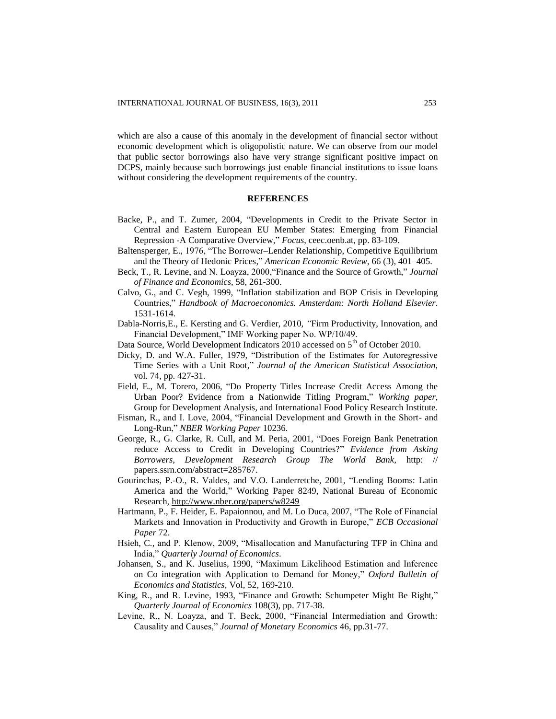which are also a cause of this anomaly in the development of financial sector without economic development which is oligopolistic nature. We can observe from our model that public sector borrowings also have very strange significant positive impact on DCPS, mainly because such borrowings just enable financial institutions to issue loans without considering the development requirements of the country.

#### **REFERENCES**

- Backe, P., and T. Zumer, 2004, "Developments in Credit to the Private Sector in Central and Eastern European EU Member States: Emerging from Financial Repression -A Comparative Overview," *Focus*, ceec.oenb.at, pp. 83-109.
- Baltensperger, E., 1976, "The Borrower–Lender Relationship, Competitive Equilibrium and the Theory of Hedonic Prices," *American Economic Review*, 66 (3), 401–405.
- Beck, T., R. Levine, and N. Loayza, 2000,"Finance and the Source of Growth," *Journal of Finance and Economics,* 58, 261-300.
- Calvo, G., and C. Vegh, 1999, "Inflation stabilization and BOP Crisis in Developing Countries," *Handbook of Macroeconomics. Amsterdam: North Holland Elsevier*. 1531-1614.
- Dabla-Norris,E., E. Kersting and G. Verdier, 2010, *"*Firm Productivity, Innovation, and Financial Development," IMF Working paper No. WP/10/49.
- Data Source, World Development Indicators 2010 accessed on 5<sup>th</sup> of October 2010.
- Dicky, D. and W.A. Fuller, 1979, "Distribution of the Estimates for Autoregressive Time Series with a Unit Root," *Journal of the American Statistical Association,* vol. 74, pp. 427-31.
- Field, E., M. Torero, 2006, "Do Property Titles Increase Credit Access Among the Urban Poor? Evidence from a Nationwide Titling Program," *Working paper*, Group for Development Analysis, and International Food Policy Research Institute*.*
- Fisman, R., and I. Love, 2004, "Financial Development and Growth in the Short- and Long-Run," *NBER Working Paper* 10236.
- George, R., G. Clarke, R. Cull, and M. Peria, 2001, "Does Foreign Bank Penetration reduce Access to Credit in Developing Countries?" *Evidence from Asking Borrowers, Development Research Group The World Bank,* http: // papers.ssrn.com/abstract=285767.
- Gourinchas, P.-O., R. Valdes, and V.O. Landerretche, 2001, "Lending Booms: Latin America and the World," Working Paper 8249, National Bureau of Economic Research,<http://www.nber.org/papers/w8249>
- Hartmann, P., F. Heider, E. Papaionnou, and M. Lo Duca, 2007, "The Role of Financial Markets and Innovation in Productivity and Growth in Europe," *ECB Occasional Paper* 72.
- Hsieh, C., and P. Klenow, 2009, "Misallocation and Manufacturing TFP in China and India," *Quarterly Journal of Economics*.
- Johansen, S., and K. Juselius, 1990, "Maximum Likelihood Estimation and Inference on Co integration with Application to Demand for Money," *Oxford Bulletin of Economics and Statistics*, Vol, 52, 169-210.
- King, R., and R. Levine, 1993, "Finance and Growth: Schumpeter Might Be Right," *Quarterly Journal of Economics* 108(3), pp. 717-38.
- Levine, R., N. Loayza, and T. Beck, 2000, "Financial Intermediation and Growth: Causality and Causes," *Journal of Monetary Economics* 46, pp.31-77.